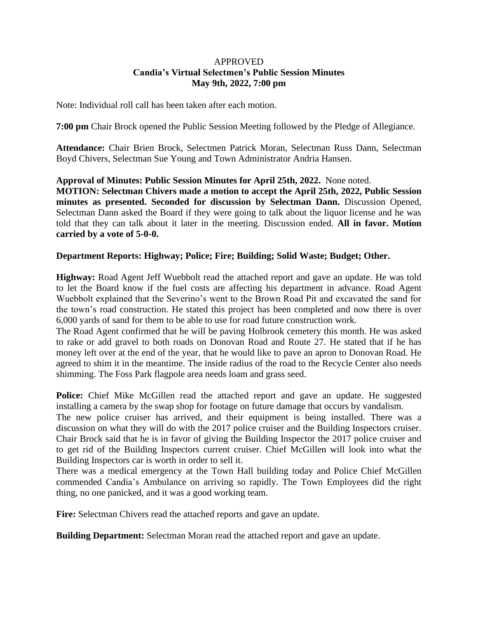## APPROVED **Candia's Virtual Selectmen's Public Session Minutes May 9th, 2022, 7:00 pm**

Note: Individual roll call has been taken after each motion.

**7:00 pm** Chair Brock opened the Public Session Meeting followed by the Pledge of Allegiance.

**Attendance:** Chair Brien Brock, Selectmen Patrick Moran, Selectman Russ Dann, Selectman Boyd Chivers, Selectman Sue Young and Town Administrator Andria Hansen.

## **Approval of Minutes: Public Session Minutes for April 25th, 2022.** None noted.

**MOTION: Selectman Chivers made a motion to accept the April 25th, 2022, Public Session minutes as presented. Seconded for discussion by Selectman Dann.** Discussion Opened, Selectman Dann asked the Board if they were going to talk about the liquor license and he was told that they can talk about it later in the meeting. Discussion ended. **All in favor. Motion carried by a vote of 5-0-0.**

## **Department Reports: Highway; Police; Fire; Building; Solid Waste; Budget; Other.**

**Highway:** Road Agent Jeff Wuebbolt read the attached report and gave an update. He was told to let the Board know if the fuel costs are affecting his department in advance. Road Agent Wuebbolt explained that the Severino's went to the Brown Road Pit and excavated the sand for the town's road construction. He stated this project has been completed and now there is over 6,000 yards of sand for them to be able to use for road future construction work.

The Road Agent confirmed that he will be paving Holbrook cemetery this month. He was asked to rake or add gravel to both roads on Donovan Road and Route 27. He stated that if he has money left over at the end of the year, that he would like to pave an apron to Donovan Road. He agreed to shim it in the meantime. The inside radius of the road to the Recycle Center also needs shimming. The Foss Park flagpole area needs loam and grass seed.

Police: Chief Mike McGillen read the attached report and gave an update. He suggested installing a camera by the swap shop for footage on future damage that occurs by vandalism.

The new police cruiser has arrived, and their equipment is being installed. There was a discussion on what they will do with the 2017 police cruiser and the Building Inspectors cruiser. Chair Brock said that he is in favor of giving the Building Inspector the 2017 police cruiser and to get rid of the Building Inspectors current cruiser. Chief McGillen will look into what the Building Inspectors car is worth in order to sell it.

There was a medical emergency at the Town Hall building today and Police Chief McGillen commended Candia's Ambulance on arriving so rapidly. The Town Employees did the right thing, no one panicked, and it was a good working team.

**Fire:** Selectman Chivers read the attached reports and gave an update.

**Building Department:** Selectman Moran read the attached report and gave an update.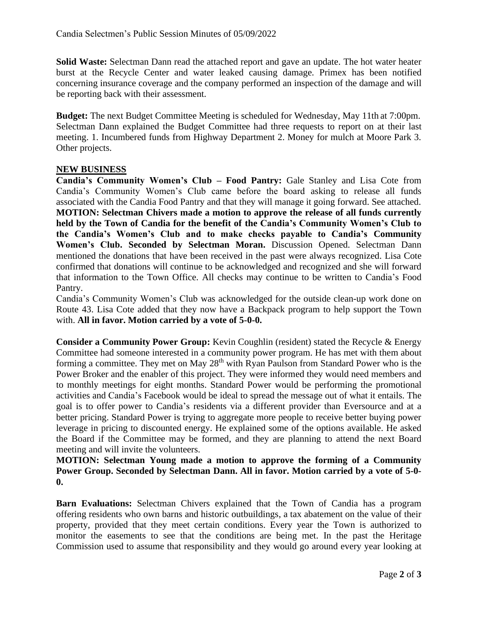**Solid Waste:** Selectman Dann read the attached report and gave an update. The hot water heater burst at the Recycle Center and water leaked causing damage. Primex has been notified concerning insurance coverage and the company performed an inspection of the damage and will be reporting back with their assessment.

**Budget:** The next Budget Committee Meeting is scheduled for Wednesday, May 11th at 7:00pm. Selectman Dann explained the Budget Committee had three requests to report on at their last meeting. 1. Incumbered funds from Highway Department 2. Money for mulch at Moore Park 3. Other projects.

## **NEW BUSINESS**

**Candia's Community Women's Club – Food Pantry:** Gale Stanley and Lisa Cote from Candia's Community Women's Club came before the board asking to release all funds associated with the Candia Food Pantry and that they will manage it going forward. See attached. **MOTION: Selectman Chivers made a motion to approve the release of all funds currently held by the Town of Candia for the benefit of the Candia's Community Women's Club to the Candia's Women's Club and to make checks payable to Candia's Community Women's Club. Seconded by Selectman Moran.** Discussion Opened. Selectman Dann mentioned the donations that have been received in the past were always recognized. Lisa Cote confirmed that donations will continue to be acknowledged and recognized and she will forward that information to the Town Office. All checks may continue to be written to Candia's Food Pantry.

Candia's Community Women's Club was acknowledged for the outside clean-up work done on Route 43. Lisa Cote added that they now have a Backpack program to help support the Town with. **All in favor. Motion carried by a vote of 5-0-0.**

**Consider a Community Power Group:** Kevin Coughlin (resident) stated the Recycle & Energy Committee had someone interested in a community power program. He has met with them about forming a committee. They met on May 28<sup>th</sup> with Ryan Paulson from Standard Power who is the Power Broker and the enabler of this project. They were informed they would need members and to monthly meetings for eight months. Standard Power would be performing the promotional activities and Candia's Facebook would be ideal to spread the message out of what it entails. The goal is to offer power to Candia's residents via a different provider than Eversource and at a better pricing. Standard Power is trying to aggregate more people to receive better buying power leverage in pricing to discounted energy. He explained some of the options available. He asked the Board if the Committee may be formed, and they are planning to attend the next Board meeting and will invite the volunteers.

**MOTION: Selectman Young made a motion to approve the forming of a Community Power Group. Seconded by Selectman Dann. All in favor. Motion carried by a vote of 5-0- 0.**

**Barn Evaluations:** Selectman Chivers explained that the Town of Candia has a program offering residents who own barns and historic outbuildings, a tax abatement on the value of their property, provided that they meet certain conditions. Every year the Town is authorized to monitor the easements to see that the conditions are being met. In the past the Heritage Commission used to assume that responsibility and they would go around every year looking at